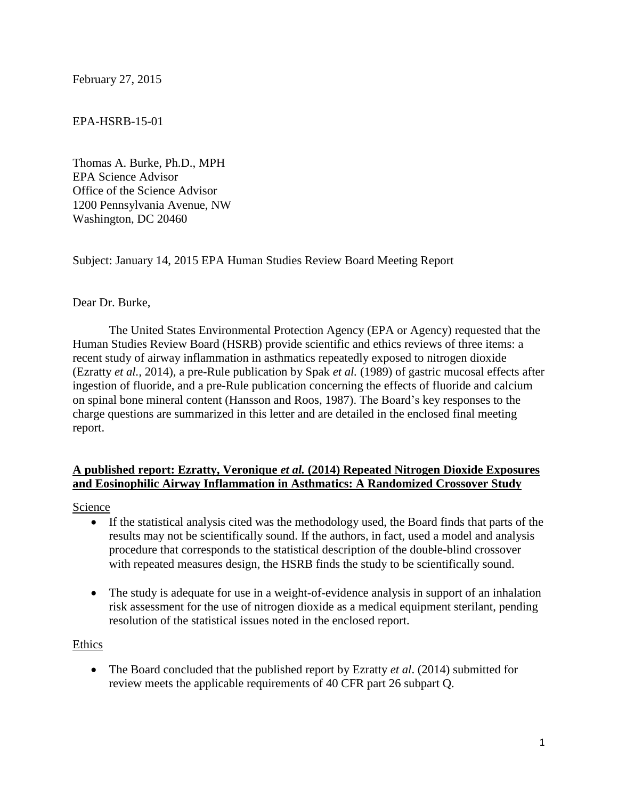February 27, 2015

#### EPA-HSRB-15-01

Thomas A. Burke, Ph.D., MPH EPA Science Advisor Office of the Science Advisor 1200 Pennsylvania Avenue, NW Washington, DC 20460

Subject: January 14, 2015 EPA Human Studies Review Board Meeting Report

#### Dear Dr. Burke,

The United States Environmental Protection Agency (EPA or Agency) requested that the Human Studies Review Board (HSRB) provide scientific and ethics reviews of three items: a recent study of airway inflammation in asthmatics repeatedly exposed to nitrogen dioxide (Ezratty *et al.,* 2014), a pre-Rule publication by Spak *et al.* (1989) of gastric mucosal effects after ingestion of fluoride, and a pre-Rule publication concerning the effects of fluoride and calcium on spinal bone mineral content (Hansson and Roos, 1987). The Board's key responses to the charge questions are summarized in this letter and are detailed in the enclosed final meeting report.

#### **A published report: Ezratty, Veronique** *et al.* **(2014) Repeated Nitrogen Dioxide Exposures and Eosinophilic Airway Inflammation in Asthmatics: A Randomized Crossover Study**

Science

- If the statistical analysis cited was the methodology used, the Board finds that parts of the results may not be scientifically sound. If the authors, in fact, used a model and analysis procedure that corresponds to the statistical description of the double-blind crossover with repeated measures design, the HSRB finds the study to be scientifically sound.
- The study is adequate for use in a weight-of-evidence analysis in support of an inhalation risk assessment for the use of nitrogen dioxide as a medical equipment sterilant, pending resolution of the statistical issues noted in the enclosed report.

#### Ethics

 The Board concluded that the published report by Ezratty *et al*. (2014) submitted for review meets the applicable requirements of 40 CFR part 26 subpart Q.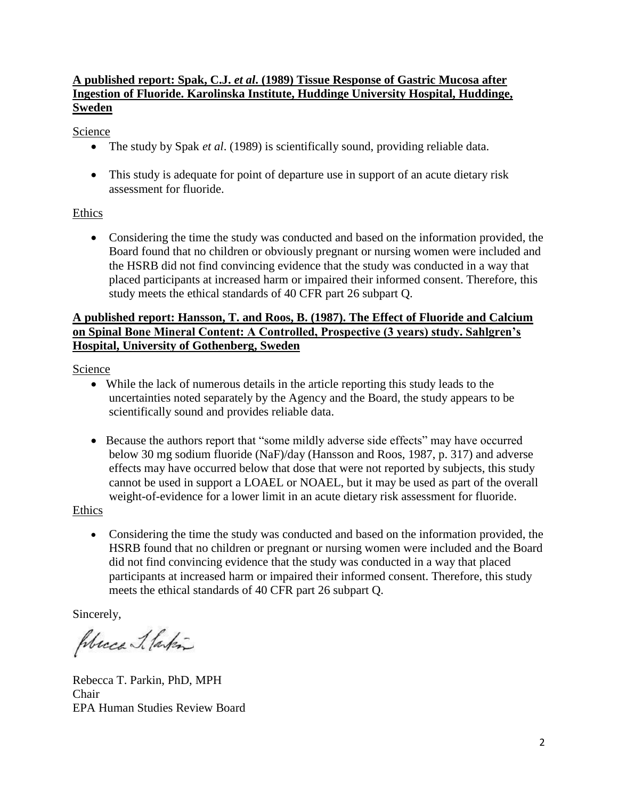#### **A published report: Spak, C.J.** *et al***. (1989) Tissue Response of Gastric Mucosa after Ingestion of Fluoride. Karolinska Institute, Huddinge University Hospital, Huddinge, Sweden**

**Science** 

- The study by Spak *et al*. (1989) is scientifically sound, providing reliable data.
- This study is adequate for point of departure use in support of an acute dietary risk assessment for fluoride.

### Ethics

 Considering the time the study was conducted and based on the information provided, the Board found that no children or obviously pregnant or nursing women were included and the HSRB did not find convincing evidence that the study was conducted in a way that placed participants at increased harm or impaired their informed consent. Therefore, this study meets the ethical standards of 40 CFR part 26 subpart Q.

### **A published report: Hansson, T. and Roos, B. (1987). The Effect of Fluoride and Calcium on Spinal Bone Mineral Content: A Controlled, Prospective (3 years) study. Sahlgren's Hospital, University of Gothenberg, Sweden**

Science

- While the lack of numerous details in the article reporting this study leads to the uncertainties noted separately by the Agency and the Board, the study appears to be scientifically sound and provides reliable data.
- Because the authors report that "some mildly adverse side effects" may have occurred below 30 mg sodium fluoride (NaF)/day (Hansson and Roos, 1987, p. 317) and adverse effects may have occurred below that dose that were not reported by subjects, this study cannot be used in support a LOAEL or NOAEL, but it may be used as part of the overall weight-of-evidence for a lower limit in an acute dietary risk assessment for fluoride.

Ethics

 Considering the time the study was conducted and based on the information provided, the HSRB found that no children or pregnant or nursing women were included and the Board did not find convincing evidence that the study was conducted in a way that placed participants at increased harm or impaired their informed consent. Therefore, this study meets the ethical standards of 40 CFR part 26 subpart Q.

Sincerely,

Place J. laten

Rebecca T. Parkin, PhD, MPH Chair EPA Human Studies Review Board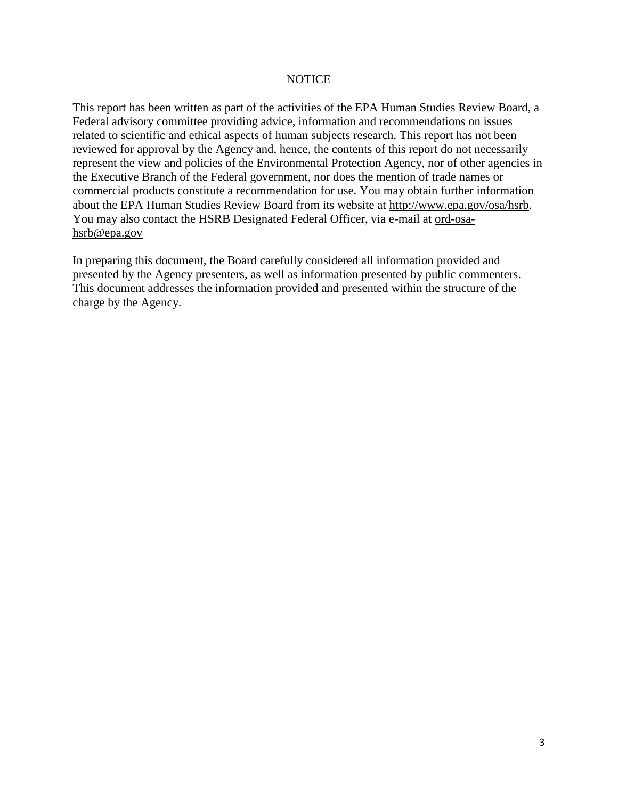#### **NOTICE**

This report has been written as part of the activities of the EPA Human Studies Review Board, a Federal advisory committee providing advice, information and recommendations on issues related to scientific and ethical aspects of human subjects research. This report has not been reviewed for approval by the Agency and, hence, the contents of this report do not necessarily represent the view and policies of the Environmental Protection Agency, nor of other agencies in the Executive Branch of the Federal government, nor does the mention of trade names or commercial products constitute a recommendation for use. You may obtain further information about the EPA Human Studies Review Board from its website at http://www.epa.gov/osa/hsrb. You may also contact the HSRB Designated Federal Officer, via e-mail at ord-osahsrb@epa.gov

In preparing this document, the Board carefully considered all information provided and presented by the Agency presenters, as well as information presented by public commenters. This document addresses the information provided and presented within the structure of the charge by the Agency.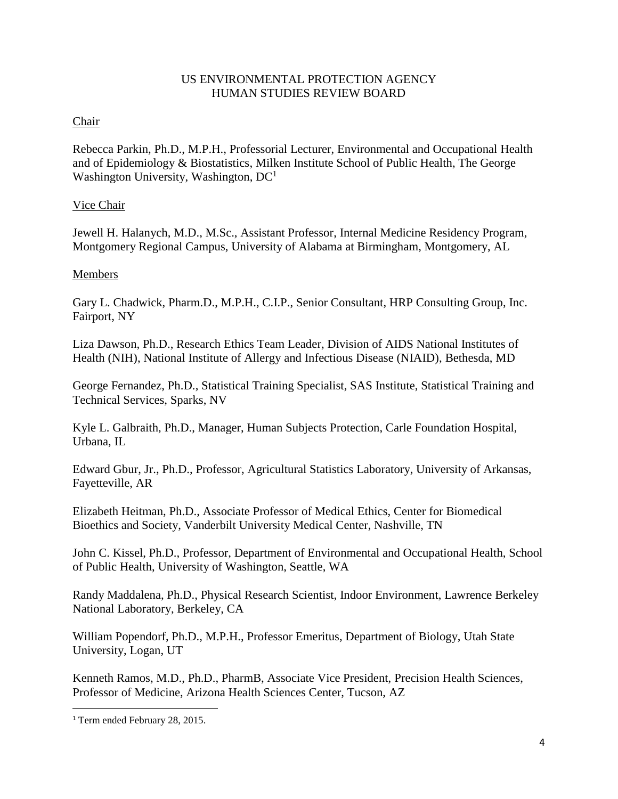#### US ENVIRONMENTAL PROTECTION AGENCY HUMAN STUDIES REVIEW BOARD

### Chair

Rebecca Parkin, Ph.D., M.P.H., Professorial Lecturer, Environmental and Occupational Health and of Epidemiology & Biostatistics, Milken Institute School of Public Health, The George Washington University, Washington, DC<sup>1</sup>

#### Vice Chair

Jewell H. Halanych, M.D., M.Sc., Assistant Professor, Internal Medicine Residency Program, Montgomery Regional Campus, University of Alabama at Birmingham, Montgomery, AL

#### Members

Gary L. Chadwick, Pharm.D., M.P.H., C.I.P., Senior Consultant, HRP Consulting Group, Inc. Fairport, NY

Liza Dawson, Ph.D., Research Ethics Team Leader, Division of AIDS National Institutes of Health (NIH), National Institute of Allergy and Infectious Disease (NIAID), Bethesda, MD

George Fernandez, Ph.D., Statistical Training Specialist, SAS Institute, Statistical Training and Technical Services, Sparks, NV

Kyle L. Galbraith, Ph.D., Manager, Human Subjects Protection, Carle Foundation Hospital, Urbana, IL

Edward Gbur, Jr., Ph.D., Professor, Agricultural Statistics Laboratory, University of Arkansas, Fayetteville, AR

Elizabeth Heitman, Ph.D., Associate Professor of Medical Ethics, Center for Biomedical Bioethics and Society, Vanderbilt University Medical Center, Nashville, TN

John C. Kissel, Ph.D., Professor, Department of Environmental and Occupational Health, School of Public Health, University of Washington, Seattle, WA

Randy Maddalena, Ph.D., Physical Research Scientist, Indoor Environment, Lawrence Berkeley National Laboratory, Berkeley, CA

William Popendorf, Ph.D., M.P.H., Professor Emeritus, Department of Biology, Utah State University, Logan, UT

Kenneth Ramos, M.D., Ph.D., PharmB, Associate Vice President, Precision Health Sciences, Professor of Medicine, Arizona Health Sciences Center, Tucson, AZ

 $\overline{\phantom{a}}$ 

<sup>&</sup>lt;sup>1</sup> Term ended February 28, 2015.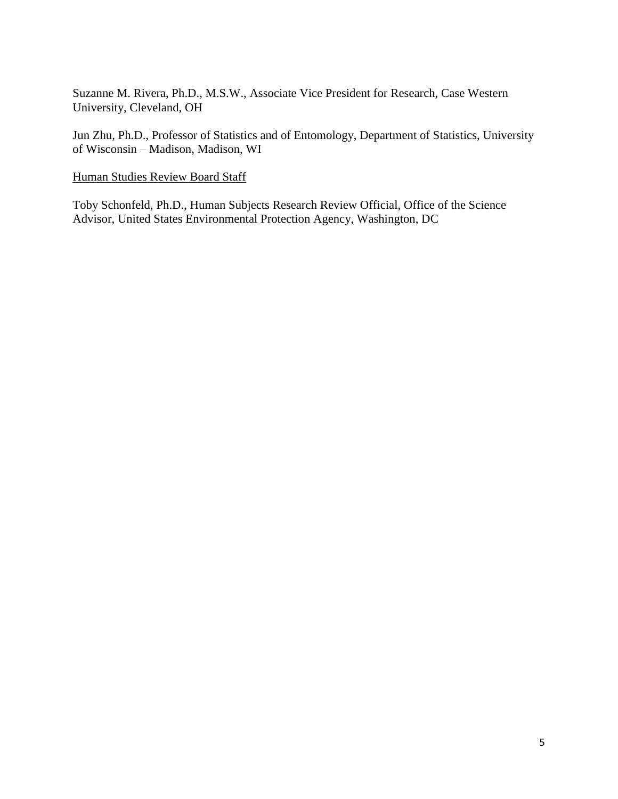Suzanne M. Rivera, Ph.D., M.S.W., Associate Vice President for Research, Case Western University, Cleveland, OH

Jun Zhu, Ph.D., Professor of Statistics and of Entomology, Department of Statistics, University of Wisconsin – Madison, Madison, WI

#### Human Studies Review Board Staff

Toby Schonfeld, Ph.D., Human Subjects Research Review Official, Office of the Science Advisor, United States Environmental Protection Agency, Washington, DC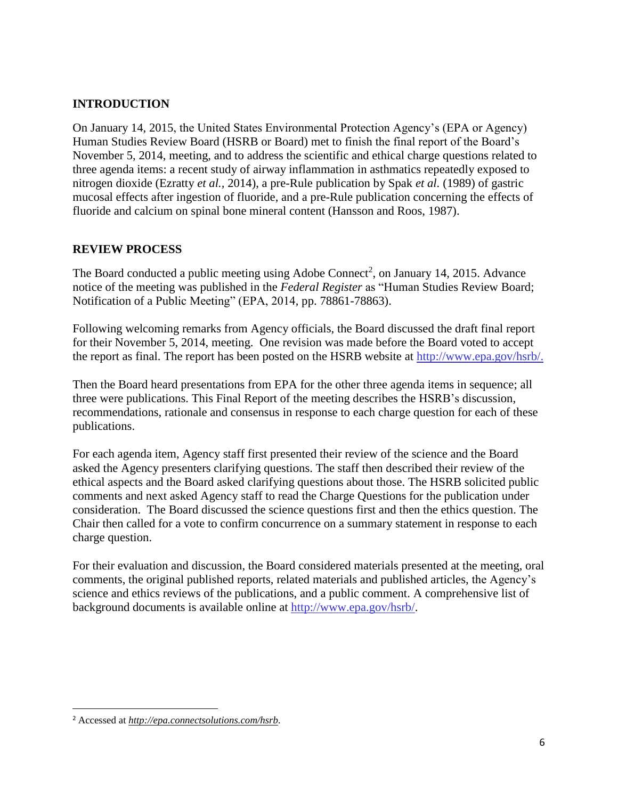## **INTRODUCTION**

On January 14, 2015, the United States Environmental Protection Agency's (EPA or Agency) Human Studies Review Board (HSRB or Board) met to finish the final report of the Board's November 5, 2014, meeting, and to address the scientific and ethical charge questions related to three agenda items: a recent study of airway inflammation in asthmatics repeatedly exposed to nitrogen dioxide (Ezratty *et al.,* 2014), a pre-Rule publication by Spak *et al.* (1989) of gastric mucosal effects after ingestion of fluoride, and a pre-Rule publication concerning the effects of fluoride and calcium on spinal bone mineral content (Hansson and Roos, 1987).

## **REVIEW PROCESS**

The Board conducted a public meeting using Adobe Connect<sup>2</sup>, on January 14, 2015. Advance notice of the meeting was published in the *Federal Register* as "Human Studies Review Board; Notification of a Public Meeting" (EPA, 2014, pp. 78861-78863).

Following welcoming remarks from Agency officials, the Board discussed the draft final report for their November 5, 2014, meeting. One revision was made before the Board voted to accept the report as final. The report has been posted on the HSRB website at [http://www.epa.gov/hsrb/.](http://www.epa.gov/hsrb/)

Then the Board heard presentations from EPA for the other three agenda items in sequence; all three were publications. This Final Report of the meeting describes the HSRB's discussion, recommendations, rationale and consensus in response to each charge question for each of these publications.

For each agenda item, Agency staff first presented their review of the science and the Board asked the Agency presenters clarifying questions. The staff then described their review of the ethical aspects and the Board asked clarifying questions about those. The HSRB solicited public comments and next asked Agency staff to read the Charge Questions for the publication under consideration. The Board discussed the science questions first and then the ethics question. The Chair then called for a vote to confirm concurrence on a summary statement in response to each charge question.

For their evaluation and discussion, the Board considered materials presented at the meeting, oral comments, the original published reports, related materials and published articles, the Agency's science and ethics reviews of the publications, and a public comment. A comprehensive list of background documents is available online at [http://www.epa.gov/hsrb/.](http://www.epa.gov/hsrb/)

 $\overline{\phantom{a}}$ 

<sup>2</sup> Accessed at *[http://epa.connectsolutions.com/hsrb.](http://epa.connectsolutions.com/hsrb)*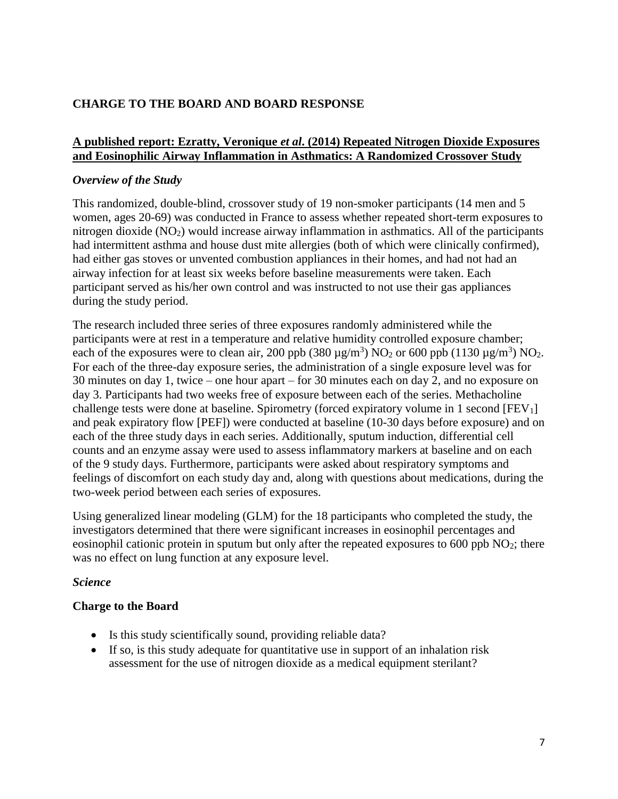# **CHARGE TO THE BOARD AND BOARD RESPONSE**

#### **A published report: Ezratty, Veronique** *et al***. (2014) Repeated Nitrogen Dioxide Exposures and Eosinophilic Airway Inflammation in Asthmatics: A Randomized Crossover Study**

#### *Overview of the Study*

This randomized, double-blind, crossover study of 19 non-smoker participants (14 men and 5 women, ages 20-69) was conducted in France to assess whether repeated short-term exposures to nitrogen dioxide (NO<sub>2</sub>) would increase airway inflammation in asthmatics. All of the participants had intermittent asthma and house dust mite allergies (both of which were clinically confirmed), had either gas stoves or unvented combustion appliances in their homes, and had not had an airway infection for at least six weeks before baseline measurements were taken. Each participant served as his/her own control and was instructed to not use their gas appliances during the study period.

The research included three series of three exposures randomly administered while the participants were at rest in a temperature and relative humidity controlled exposure chamber; each of the exposures were to clean air, 200 ppb (380  $\mu$ g/m<sup>3</sup>) NO<sub>2</sub> or 600 ppb (1130  $\mu$ g/m<sup>3</sup>) NO<sub>2</sub>. For each of the three-day exposure series, the administration of a single exposure level was for 30 minutes on day 1, twice – one hour apart – for 30 minutes each on day 2, and no exposure on day 3. Participants had two weeks free of exposure between each of the series. Methacholine challenge tests were done at baseline. Spirometry (forced expiratory volume in 1 second [FEV1] and peak expiratory flow [PEF]) were conducted at baseline (10-30 days before exposure) and on each of the three study days in each series. Additionally, sputum induction, differential cell counts and an enzyme assay were used to assess inflammatory markers at baseline and on each of the 9 study days. Furthermore, participants were asked about respiratory symptoms and feelings of discomfort on each study day and, along with questions about medications, during the two-week period between each series of exposures.

Using generalized linear modeling (GLM) for the 18 participants who completed the study, the investigators determined that there were significant increases in eosinophil percentages and eosinophil cationic protein in sputum but only after the repeated exposures to  $600$  ppb  $NO<sub>2</sub>$ ; there was no effect on lung function at any exposure level.

### *Science*

### **Charge to the Board**

- Is this study scientifically sound, providing reliable data?
- If so, is this study adequate for quantitative use in support of an inhalation risk assessment for the use of nitrogen dioxide as a medical equipment sterilant?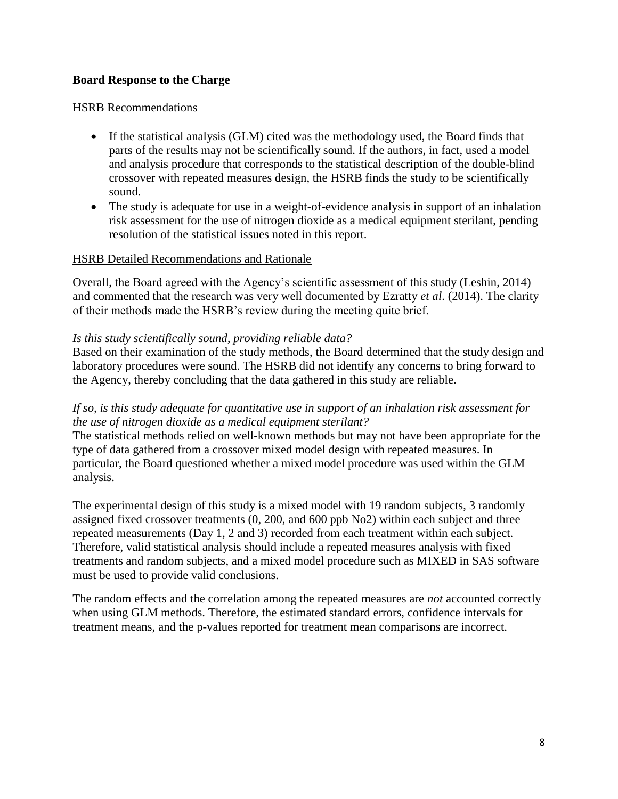#### **Board Response to the Charge**

#### HSRB Recommendations

- If the statistical analysis (GLM) cited was the methodology used, the Board finds that parts of the results may not be scientifically sound. If the authors, in fact, used a model and analysis procedure that corresponds to the statistical description of the double-blind crossover with repeated measures design, the HSRB finds the study to be scientifically sound.
- The study is adequate for use in a weight-of-evidence analysis in support of an inhalation risk assessment for the use of nitrogen dioxide as a medical equipment sterilant, pending resolution of the statistical issues noted in this report.

#### HSRB Detailed Recommendations and Rationale

Overall, the Board agreed with the Agency's scientific assessment of this study (Leshin, 2014) and commented that the research was very well documented by Ezratty *et al*. (2014). The clarity of their methods made the HSRB's review during the meeting quite brief.

#### *Is this study scientifically sound, providing reliable data?*

Based on their examination of the study methods, the Board determined that the study design and laboratory procedures were sound. The HSRB did not identify any concerns to bring forward to the Agency, thereby concluding that the data gathered in this study are reliable.

#### *If so, is this study adequate for quantitative use in support of an inhalation risk assessment for the use of nitrogen dioxide as a medical equipment sterilant?*

The statistical methods relied on well-known methods but may not have been appropriate for the type of data gathered from a crossover mixed model design with repeated measures. In particular, the Board questioned whether a mixed model procedure was used within the GLM analysis.

The experimental design of this study is a mixed model with 19 random subjects, 3 randomly assigned fixed crossover treatments (0, 200, and 600 ppb No2) within each subject and three repeated measurements (Day 1, 2 and 3) recorded from each treatment within each subject. Therefore, valid statistical analysis should include a repeated measures analysis with fixed treatments and random subjects, and a mixed model procedure such as MIXED in SAS software must be used to provide valid conclusions.

The random effects and the correlation among the repeated measures are *not* accounted correctly when using GLM methods. Therefore, the estimated standard errors, confidence intervals for treatment means, and the p-values reported for treatment mean comparisons are incorrect.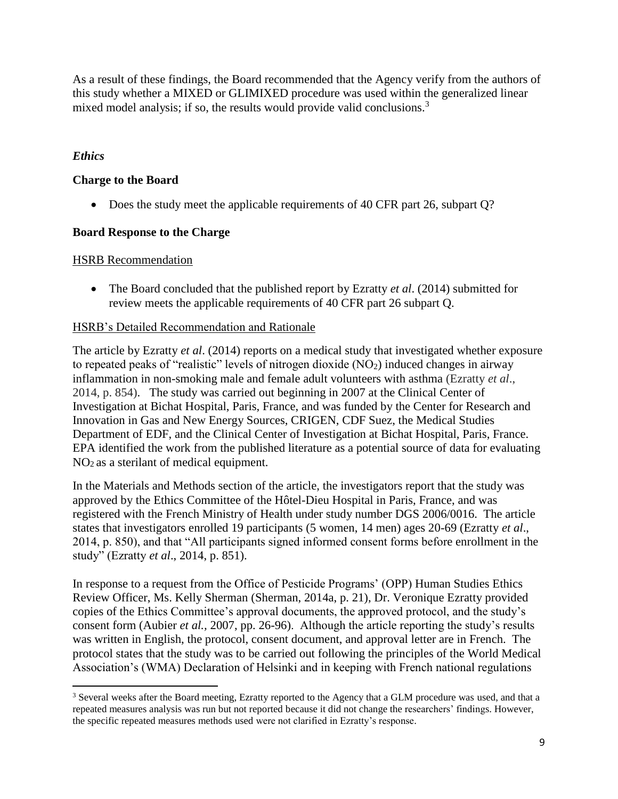As a result of these findings, the Board recommended that the Agency verify from the authors of this study whether a MIXED or GLIMIXED procedure was used within the generalized linear mixed model analysis; if so, the results would provide valid conclusions.<sup>3</sup>

## *Ethics*

## **Charge to the Board**

• Does the study meet the applicable requirements of 40 CFR part 26, subpart Q?

### **Board Response to the Charge**

#### **HSRB** Recommendation

 The Board concluded that the published report by Ezratty *et al*. (2014) submitted for review meets the applicable requirements of 40 CFR part 26 subpart Q.

### HSRB's Detailed Recommendation and Rationale

The article by Ezratty *et al*. (2014) reports on a medical study that investigated whether exposure to repeated peaks of "realistic" levels of nitrogen dioxide (NO2) induced changes in airway inflammation in non-smoking male and female adult volunteers with asthma (Ezratty *et al*., 2014, p. 854). The study was carried out beginning in 2007 at the Clinical Center of Investigation at Bichat Hospital, Paris, France, and was funded by the Center for Research and Innovation in Gas and New Energy Sources, CRIGEN, CDF Suez, the Medical Studies Department of EDF, and the Clinical Center of Investigation at Bichat Hospital, Paris, France. EPA identified the work from the published literature as a potential source of data for evaluating NO2 as a sterilant of medical equipment.

In the Materials and Methods section of the article, the investigators report that the study was approved by the Ethics Committee of the Hôtel-Dieu Hospital in Paris, France, and was registered with the French Ministry of Health under study number DGS 2006/0016. The article states that investigators enrolled 19 participants (5 women, 14 men) ages 20-69 (Ezratty *et al*., 2014, p. 850), and that "All participants signed informed consent forms before enrollment in the study" (Ezratty *et al*., 2014, p. 851).

In response to a request from the Office of Pesticide Programs' (OPP) Human Studies Ethics Review Officer, Ms. Kelly Sherman (Sherman, 2014a, p. 21), Dr. Veronique Ezratty provided copies of the Ethics Committee's approval documents, the approved protocol, and the study's consent form (Aubier *et al.,* 2007, pp. 26-96). Although the article reporting the study's results was written in English, the protocol, consent document, and approval letter are in French. The protocol states that the study was to be carried out following the principles of the World Medical Association's (WMA) Declaration of Helsinki and in keeping with French national regulations

 $\overline{\phantom{a}}$ <sup>3</sup> Several weeks after the Board meeting, Ezratty reported to the Agency that a GLM procedure was used, and that a repeated measures analysis was run but not reported because it did not change the researchers' findings. However, the specific repeated measures methods used were not clarified in Ezratty's response.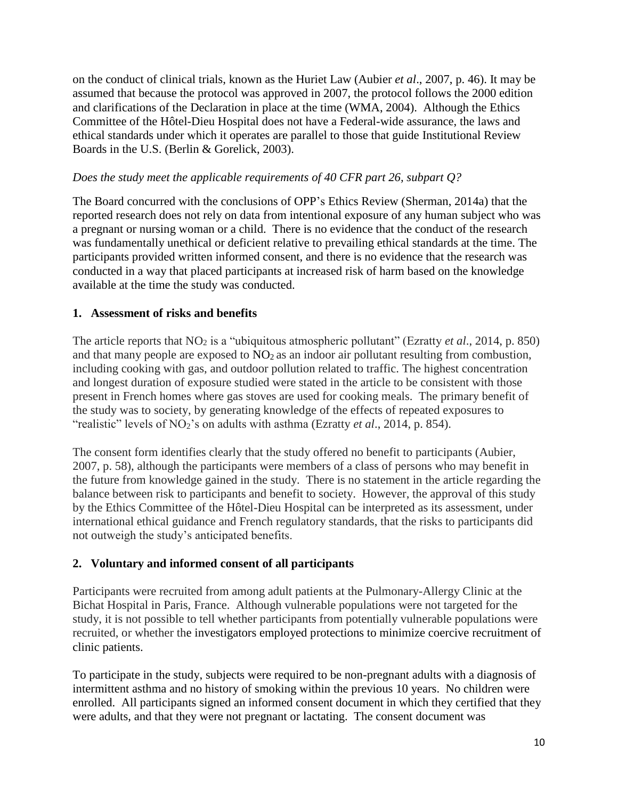on the conduct of clinical trials, known as the Huriet Law (Aubier *et al*., 2007, p. 46). It may be assumed that because the protocol was approved in 2007, the protocol follows the 2000 edition and clarifications of the Declaration in place at the time (WMA, 2004). Although the Ethics Committee of the Hôtel-Dieu Hospital does not have a Federal-wide assurance, the laws and ethical standards under which it operates are parallel to those that guide Institutional Review Boards in the U.S. (Berlin & Gorelick, 2003).

### *Does the study meet the applicable requirements of 40 CFR part 26, subpart Q?*

The Board concurred with the conclusions of OPP's Ethics Review (Sherman, 2014a) that the reported research does not rely on data from intentional exposure of any human subject who was a pregnant or nursing woman or a child. There is no evidence that the conduct of the research was fundamentally unethical or deficient relative to prevailing ethical standards at the time. The participants provided written informed consent, and there is no evidence that the research was conducted in a way that placed participants at increased risk of harm based on the knowledge available at the time the study was conducted.

### **1. Assessment of risks and benefits**

The article reports that NO<sub>2</sub> is a "ubiquitous atmospheric pollutant" (Ezratty *et al.*, 2014, p. 850) and that many people are exposed to  $NO<sub>2</sub>$  as an indoor air pollutant resulting from combustion, including cooking with gas, and outdoor pollution related to traffic. The highest concentration and longest duration of exposure studied were stated in the article to be consistent with those present in French homes where gas stoves are used for cooking meals. The primary benefit of the study was to society, by generating knowledge of the effects of repeated exposures to "realistic" levels of NO<sub>2</sub>'s on adults with asthma (Ezratty *et al.*, 2014, p. 854).

The consent form identifies clearly that the study offered no benefit to participants (Aubier, 2007, p. 58), although the participants were members of a class of persons who may benefit in the future from knowledge gained in the study. There is no statement in the article regarding the balance between risk to participants and benefit to society. However, the approval of this study by the Ethics Committee of the Hôtel-Dieu Hospital can be interpreted as its assessment, under international ethical guidance and French regulatory standards, that the risks to participants did not outweigh the study's anticipated benefits.

# **2. Voluntary and informed consent of all participants**

Participants were recruited from among adult patients at the Pulmonary-Allergy Clinic at the Bichat Hospital in Paris, France. Although vulnerable populations were not targeted for the study, it is not possible to tell whether participants from potentially vulnerable populations were recruited, or whether the investigators employed protections to minimize coercive recruitment of clinic patients.

To participate in the study, subjects were required to be non-pregnant adults with a diagnosis of intermittent asthma and no history of smoking within the previous 10 years. No children were enrolled. All participants signed an informed consent document in which they certified that they were adults, and that they were not pregnant or lactating. The consent document was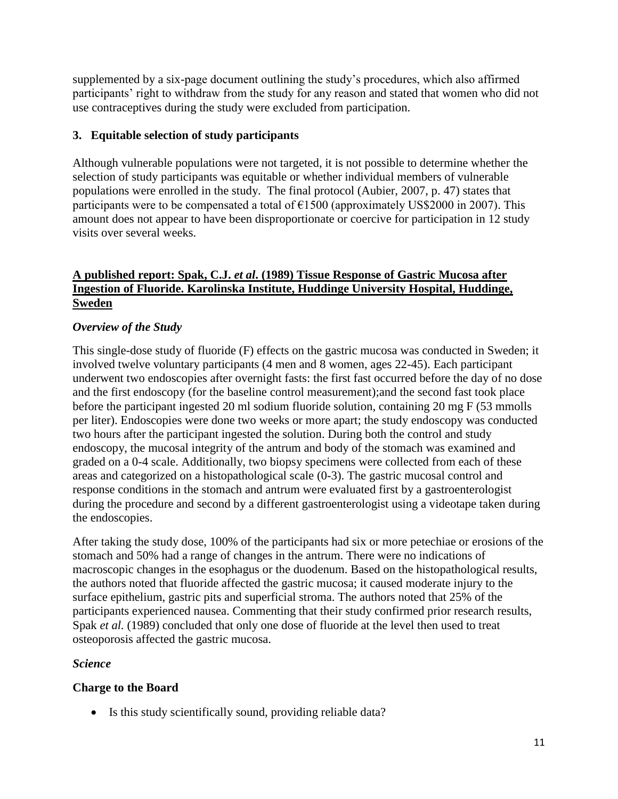supplemented by a six-page document outlining the study's procedures, which also affirmed participants' right to withdraw from the study for any reason and stated that women who did not use contraceptives during the study were excluded from participation.

# **3. Equitable selection of study participants**

Although vulnerable populations were not targeted, it is not possible to determine whether the selection of study participants was equitable or whether individual members of vulnerable populations were enrolled in the study. The final protocol (Aubier, 2007, p. 47) states that participants were to be compensated a total of  $\epsilon$ 1500 (approximately US\$2000 in 2007). This amount does not appear to have been disproportionate or coercive for participation in 12 study visits over several weeks.

### **A published report: Spak, C.J.** *et al***. (1989) Tissue Response of Gastric Mucosa after Ingestion of Fluoride. Karolinska Institute, Huddinge University Hospital, Huddinge, Sweden**

# *Overview of the Study*

This single-dose study of fluoride (F) effects on the gastric mucosa was conducted in Sweden; it involved twelve voluntary participants (4 men and 8 women, ages 22-45). Each participant underwent two endoscopies after overnight fasts: the first fast occurred before the day of no dose and the first endoscopy (for the baseline control measurement);and the second fast took place before the participant ingested 20 ml sodium fluoride solution, containing 20 mg F (53 mmolls per liter). Endoscopies were done two weeks or more apart; the study endoscopy was conducted two hours after the participant ingested the solution. During both the control and study endoscopy, the mucosal integrity of the antrum and body of the stomach was examined and graded on a 0-4 scale. Additionally, two biopsy specimens were collected from each of these areas and categorized on a histopathological scale (0-3). The gastric mucosal control and response conditions in the stomach and antrum were evaluated first by a gastroenterologist during the procedure and second by a different gastroenterologist using a videotape taken during the endoscopies.

After taking the study dose, 100% of the participants had six or more petechiae or erosions of the stomach and 50% had a range of changes in the antrum. There were no indications of macroscopic changes in the esophagus or the duodenum. Based on the histopathological results, the authors noted that fluoride affected the gastric mucosa; it caused moderate injury to the surface epithelium, gastric pits and superficial stroma. The authors noted that 25% of the participants experienced nausea. Commenting that their study confirmed prior research results, Spak *et al.* (1989) concluded that only one dose of fluoride at the level then used to treat osteoporosis affected the gastric mucosa.

### *Science*

### **Charge to the Board**

• Is this study scientifically sound, providing reliable data?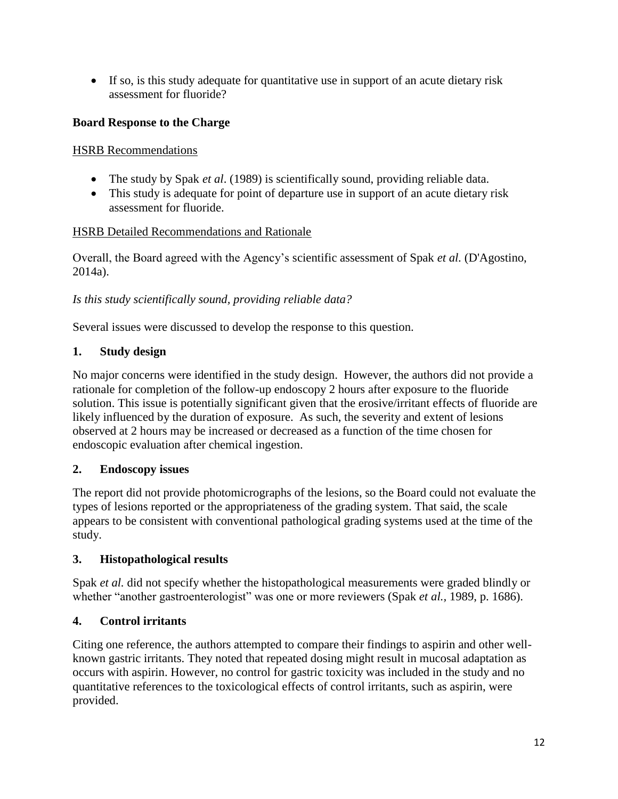If so, is this study adequate for quantitative use in support of an acute dietary risk assessment for fluoride?

# **Board Response to the Charge**

### HSRB Recommendations

- The study by Spak *et al*. (1989) is scientifically sound, providing reliable data.
- This study is adequate for point of departure use in support of an acute dietary risk assessment for fluoride.

## HSRB Detailed Recommendations and Rationale

Overall, the Board agreed with the Agency's scientific assessment of Spak *et al.* (D'Agostino, 2014a).

## *Is this study scientifically sound, providing reliable data?*

Several issues were discussed to develop the response to this question.

## **1. Study design**

No major concerns were identified in the study design. However, the authors did not provide a rationale for completion of the follow-up endoscopy 2 hours after exposure to the fluoride solution. This issue is potentially significant given that the erosive/irritant effects of fluoride are likely influenced by the duration of exposure. As such, the severity and extent of lesions observed at 2 hours may be increased or decreased as a function of the time chosen for endoscopic evaluation after chemical ingestion.

### **2. Endoscopy issues**

The report did not provide photomicrographs of the lesions, so the Board could not evaluate the types of lesions reported or the appropriateness of the grading system. That said, the scale appears to be consistent with conventional pathological grading systems used at the time of the study.

# **3. Histopathological results**

Spak *et al.* did not specify whether the histopathological measurements were graded blindly or whether "another gastroenterologist" was one or more reviewers (Spak *et al.,* 1989, p. 1686).

# **4. Control irritants**

Citing one reference, the authors attempted to compare their findings to aspirin and other wellknown gastric irritants. They noted that repeated dosing might result in mucosal adaptation as occurs with aspirin. However, no control for gastric toxicity was included in the study and no quantitative references to the toxicological effects of control irritants, such as aspirin, were provided.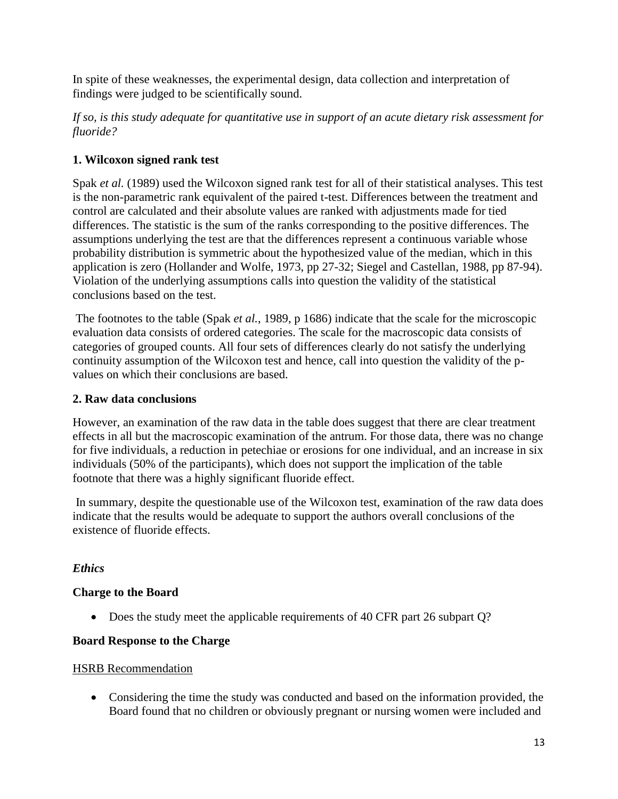In spite of these weaknesses, the experimental design, data collection and interpretation of findings were judged to be scientifically sound.

*If so, is this study adequate for quantitative use in support of an acute dietary risk assessment for fluoride?*

## **1. Wilcoxon signed rank test**

Spak *et al.* (1989) used the Wilcoxon signed rank test for all of their statistical analyses. This test is the non-parametric rank equivalent of the paired t-test. Differences between the treatment and control are calculated and their absolute values are ranked with adjustments made for tied differences. The statistic is the sum of the ranks corresponding to the positive differences. The assumptions underlying the test are that the differences represent a continuous variable whose probability distribution is symmetric about the hypothesized value of the median, which in this application is zero (Hollander and Wolfe, 1973, pp 27-32; Siegel and Castellan, 1988, pp 87-94). Violation of the underlying assumptions calls into question the validity of the statistical conclusions based on the test.

The footnotes to the table (Spak *et al.*, 1989, p 1686) indicate that the scale for the microscopic evaluation data consists of ordered categories. The scale for the macroscopic data consists of categories of grouped counts. All four sets of differences clearly do not satisfy the underlying continuity assumption of the Wilcoxon test and hence, call into question the validity of the pvalues on which their conclusions are based.

### **2. Raw data conclusions**

However, an examination of the raw data in the table does suggest that there are clear treatment effects in all but the macroscopic examination of the antrum. For those data, there was no change for five individuals, a reduction in petechiae or erosions for one individual, and an increase in six individuals (50% of the participants), which does not support the implication of the table footnote that there was a highly significant fluoride effect.

In summary, despite the questionable use of the Wilcoxon test, examination of the raw data does indicate that the results would be adequate to support the authors overall conclusions of the existence of fluoride effects.

### *Ethics*

### **Charge to the Board**

• Does the study meet the applicable requirements of 40 CFR part 26 subpart Q?

### **Board Response to the Charge**

### **HSRB** Recommendation

 Considering the time the study was conducted and based on the information provided, the Board found that no children or obviously pregnant or nursing women were included and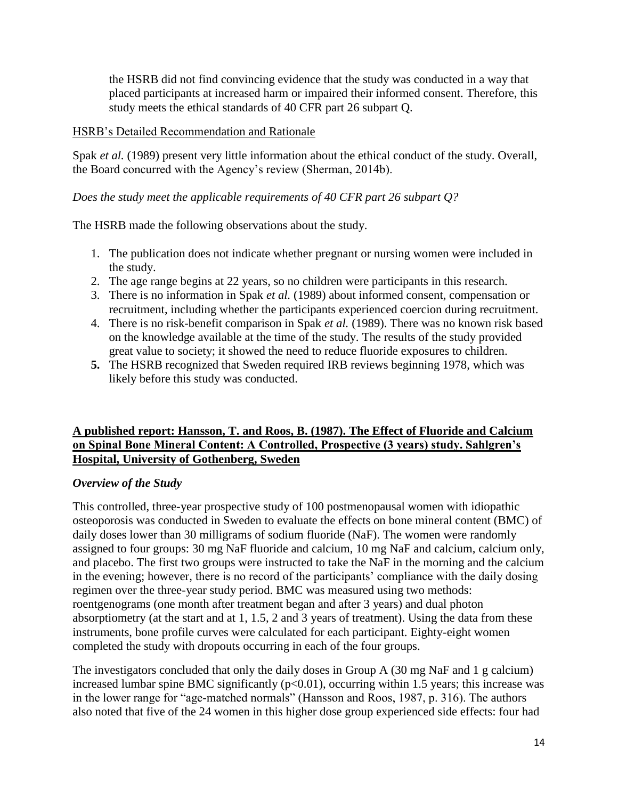the HSRB did not find convincing evidence that the study was conducted in a way that placed participants at increased harm or impaired their informed consent. Therefore, this study meets the ethical standards of 40 CFR part 26 subpart Q.

#### HSRB's Detailed Recommendation and Rationale

Spak *et al.* (1989) present very little information about the ethical conduct of the study. Overall, the Board concurred with the Agency's review (Sherman, 2014b).

#### *Does the study meet the applicable requirements of 40 CFR part 26 subpart Q?*

The HSRB made the following observations about the study.

- 1. The publication does not indicate whether pregnant or nursing women were included in the study.
- 2. The age range begins at 22 years, so no children were participants in this research.
- 3. There is no information in Spak *et al.* (1989) about informed consent, compensation or recruitment, including whether the participants experienced coercion during recruitment.
- 4. There is no risk-benefit comparison in Spak *et al.* (1989). There was no known risk based on the knowledge available at the time of the study. The results of the study provided great value to society; it showed the need to reduce fluoride exposures to children.
- **5.** The HSRB recognized that Sweden required IRB reviews beginning 1978, which was likely before this study was conducted.

### **A published report: Hansson, T. and Roos, B. (1987). The Effect of Fluoride and Calcium on Spinal Bone Mineral Content: A Controlled, Prospective (3 years) study. Sahlgren's Hospital, University of Gothenberg, Sweden**

### *Overview of the Study*

This controlled, three-year prospective study of 100 postmenopausal women with idiopathic osteoporosis was conducted in Sweden to evaluate the effects on bone mineral content (BMC) of daily doses lower than 30 milligrams of sodium fluoride (NaF). The women were randomly assigned to four groups: 30 mg NaF fluoride and calcium, 10 mg NaF and calcium, calcium only, and placebo. The first two groups were instructed to take the NaF in the morning and the calcium in the evening; however, there is no record of the participants' compliance with the daily dosing regimen over the three-year study period. BMC was measured using two methods: roentgenograms (one month after treatment began and after 3 years) and dual photon absorptiometry (at the start and at 1, 1.5, 2 and 3 years of treatment). Using the data from these instruments, bone profile curves were calculated for each participant. Eighty-eight women completed the study with dropouts occurring in each of the four groups.

The investigators concluded that only the daily doses in Group A (30 mg NaF and 1 g calcium) increased lumbar spine BMC significantly  $(p<0.01)$ , occurring within 1.5 years; this increase was in the lower range for "age-matched normals" (Hansson and Roos, 1987, p. 316). The authors also noted that five of the 24 women in this higher dose group experienced side effects: four had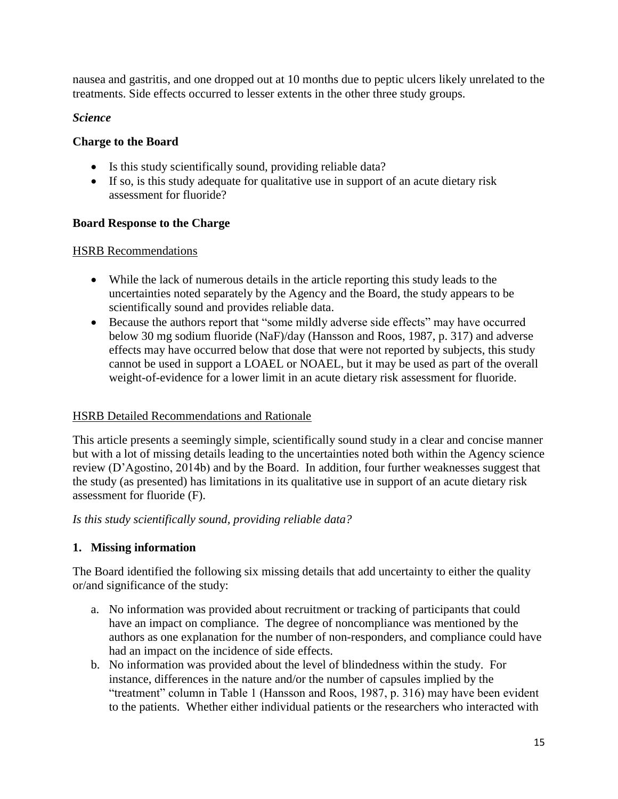nausea and gastritis, and one dropped out at 10 months due to peptic ulcers likely unrelated to the treatments. Side effects occurred to lesser extents in the other three study groups.

# *Science*

## **Charge to the Board**

- Is this study scientifically sound, providing reliable data?
- If so, is this study adequate for qualitative use in support of an acute dietary risk assessment for fluoride?

# **Board Response to the Charge**

## HSRB Recommendations

- While the lack of numerous details in the article reporting this study leads to the uncertainties noted separately by the Agency and the Board, the study appears to be scientifically sound and provides reliable data.
- Because the authors report that "some mildly adverse side effects" may have occurred below 30 mg sodium fluoride (NaF)/day (Hansson and Roos, 1987, p. 317) and adverse effects may have occurred below that dose that were not reported by subjects, this study cannot be used in support a LOAEL or NOAEL, but it may be used as part of the overall weight-of-evidence for a lower limit in an acute dietary risk assessment for fluoride.

# HSRB Detailed Recommendations and Rationale

This article presents a seemingly simple, scientifically sound study in a clear and concise manner but with a lot of missing details leading to the uncertainties noted both within the Agency science review (D'Agostino, 2014b) and by the Board. In addition, four further weaknesses suggest that the study (as presented) has limitations in its qualitative use in support of an acute dietary risk assessment for fluoride (F).

*Is this study scientifically sound, providing reliable data?*

# **1. Missing information**

The Board identified the following six missing details that add uncertainty to either the quality or/and significance of the study:

- a. No information was provided about recruitment or tracking of participants that could have an impact on compliance. The degree of noncompliance was mentioned by the authors as one explanation for the number of non-responders, and compliance could have had an impact on the incidence of side effects.
- b. No information was provided about the level of blindedness within the study. For instance, differences in the nature and/or the number of capsules implied by the "treatment" column in Table 1 (Hansson and Roos, 1987, p. 316) may have been evident to the patients. Whether either individual patients or the researchers who interacted with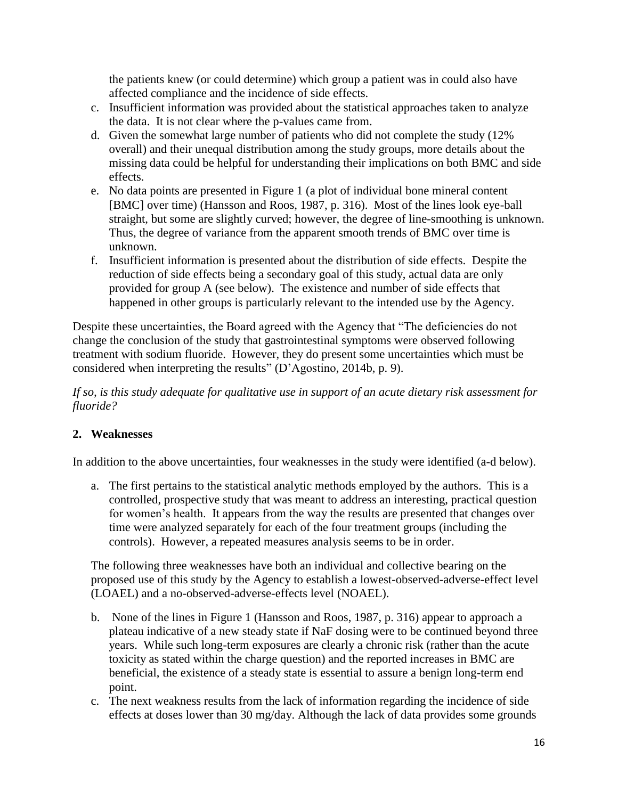the patients knew (or could determine) which group a patient was in could also have affected compliance and the incidence of side effects.

- c. Insufficient information was provided about the statistical approaches taken to analyze the data. It is not clear where the p-values came from.
- d. Given the somewhat large number of patients who did not complete the study (12% overall) and their unequal distribution among the study groups, more details about the missing data could be helpful for understanding their implications on both BMC and side effects.
- e. No data points are presented in Figure 1 (a plot of individual bone mineral content [BMC] over time) (Hansson and Roos, 1987, p. 316). Most of the lines look eye-ball straight, but some are slightly curved; however, the degree of line-smoothing is unknown. Thus, the degree of variance from the apparent smooth trends of BMC over time is unknown.
- f. Insufficient information is presented about the distribution of side effects. Despite the reduction of side effects being a secondary goal of this study, actual data are only provided for group A (see below). The existence and number of side effects that happened in other groups is particularly relevant to the intended use by the Agency.

Despite these uncertainties, the Board agreed with the Agency that "The deficiencies do not change the conclusion of the study that gastrointestinal symptoms were observed following treatment with sodium fluoride. However, they do present some uncertainties which must be considered when interpreting the results" (D'Agostino, 2014b, p. 9).

*If so, is this study adequate for qualitative use in support of an acute dietary risk assessment for fluoride?*

# **2. Weaknesses**

In addition to the above uncertainties, four weaknesses in the study were identified (a-d below).

a. The first pertains to the statistical analytic methods employed by the authors. This is a controlled, prospective study that was meant to address an interesting, practical question for women's health. It appears from the way the results are presented that changes over time were analyzed separately for each of the four treatment groups (including the controls). However, a repeated measures analysis seems to be in order.

The following three weaknesses have both an individual and collective bearing on the proposed use of this study by the Agency to establish a lowest-observed-adverse-effect level (LOAEL) and a no-observed-adverse-effects level (NOAEL).

- b. None of the lines in Figure 1 (Hansson and Roos, 1987, p. 316) appear to approach a plateau indicative of a new steady state if NaF dosing were to be continued beyond three years. While such long-term exposures are clearly a chronic risk (rather than the acute toxicity as stated within the charge question) and the reported increases in BMC are beneficial, the existence of a steady state is essential to assure a benign long-term end point.
- c. The next weakness results from the lack of information regarding the incidence of side effects at doses lower than 30 mg/day. Although the lack of data provides some grounds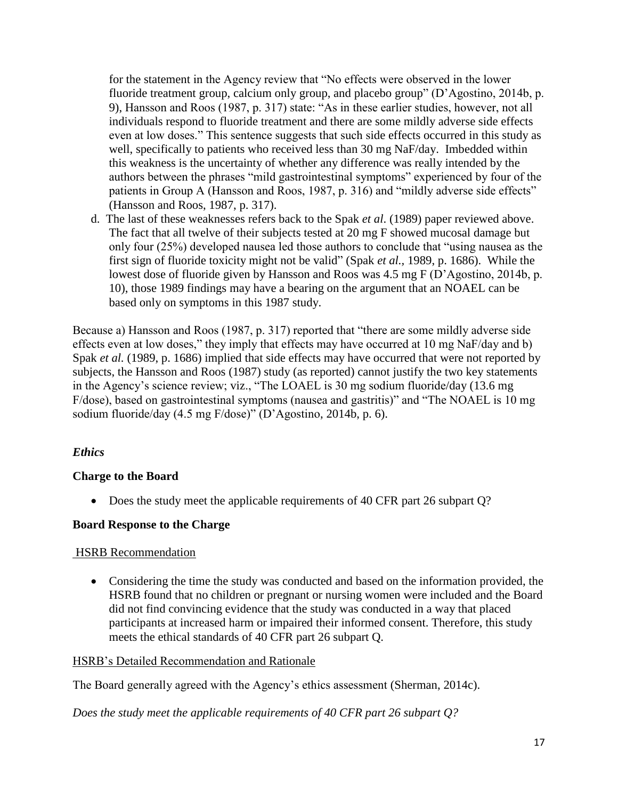for the statement in the Agency review that "No effects were observed in the lower fluoride treatment group, calcium only group, and placebo group" (D'Agostino, 2014b, p. 9), Hansson and Roos (1987, p. 317) state: "As in these earlier studies, however, not all individuals respond to fluoride treatment and there are some mildly adverse side effects even at low doses." This sentence suggests that such side effects occurred in this study as well, specifically to patients who received less than 30 mg NaF/day. Imbedded within this weakness is the uncertainty of whether any difference was really intended by the authors between the phrases "mild gastrointestinal symptoms" experienced by four of the patients in Group A (Hansson and Roos, 1987, p. 316) and "mildly adverse side effects" (Hansson and Roos, 1987, p. 317).

d. The last of these weaknesses refers back to the Spak *et al*. (1989) paper reviewed above. The fact that all twelve of their subjects tested at 20 mg F showed mucosal damage but only four (25%) developed nausea led those authors to conclude that "using nausea as the first sign of fluoride toxicity might not be valid" (Spak *et al.,* 1989, p. 1686). While the lowest dose of fluoride given by Hansson and Roos was 4.5 mg F (D'Agostino, 2014b, p. 10), those 1989 findings may have a bearing on the argument that an NOAEL can be based only on symptoms in this 1987 study.

Because a) Hansson and Roos (1987, p. 317) reported that "there are some mildly adverse side effects even at low doses," they imply that effects may have occurred at 10 mg NaF/day and b) Spak *et al.* (1989, p. 1686) implied that side effects may have occurred that were not reported by subjects, the Hansson and Roos (1987) study (as reported) cannot justify the two key statements in the Agency's science review; viz., "The LOAEL is 30 mg sodium fluoride/day (13.6 mg F/dose), based on gastrointestinal symptoms (nausea and gastritis)" and "The NOAEL is 10 mg sodium fluoride/day (4.5 mg F/dose)" (D'Agostino, 2014b, p. 6).

### *Ethics*

### **Charge to the Board**

• Does the study meet the applicable requirements of 40 CFR part 26 subpart Q?

### **Board Response to the Charge**

### HSRB Recommendation

 Considering the time the study was conducted and based on the information provided, the HSRB found that no children or pregnant or nursing women were included and the Board did not find convincing evidence that the study was conducted in a way that placed participants at increased harm or impaired their informed consent. Therefore, this study meets the ethical standards of 40 CFR part 26 subpart Q.

### HSRB's Detailed Recommendation and Rationale

The Board generally agreed with the Agency's ethics assessment (Sherman, 2014c).

*Does the study meet the applicable requirements of 40 CFR part 26 subpart Q?*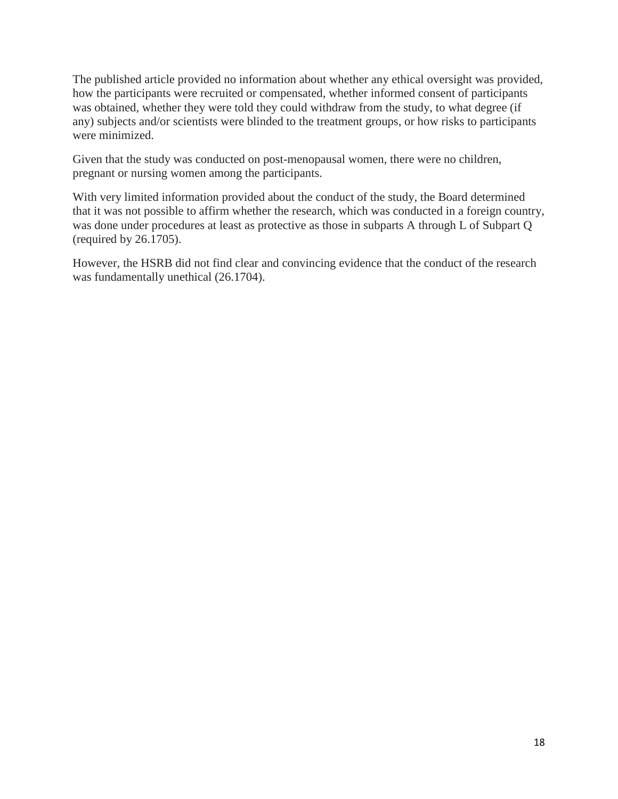The published article provided no information about whether any ethical oversight was provided, how the participants were recruited or compensated, whether informed consent of participants was obtained, whether they were told they could withdraw from the study, to what degree (if any) subjects and/or scientists were blinded to the treatment groups, or how risks to participants were minimized.

Given that the study was conducted on post-menopausal women, there were no children, pregnant or nursing women among the participants.

With very limited information provided about the conduct of the study, the Board determined that it was not possible to affirm whether the research, which was conducted in a foreign country, was done under procedures at least as protective as those in subparts A through L of Subpart Q (required by 26.1705).

However, the HSRB did not find clear and convincing evidence that the conduct of the research was fundamentally unethical (26.1704).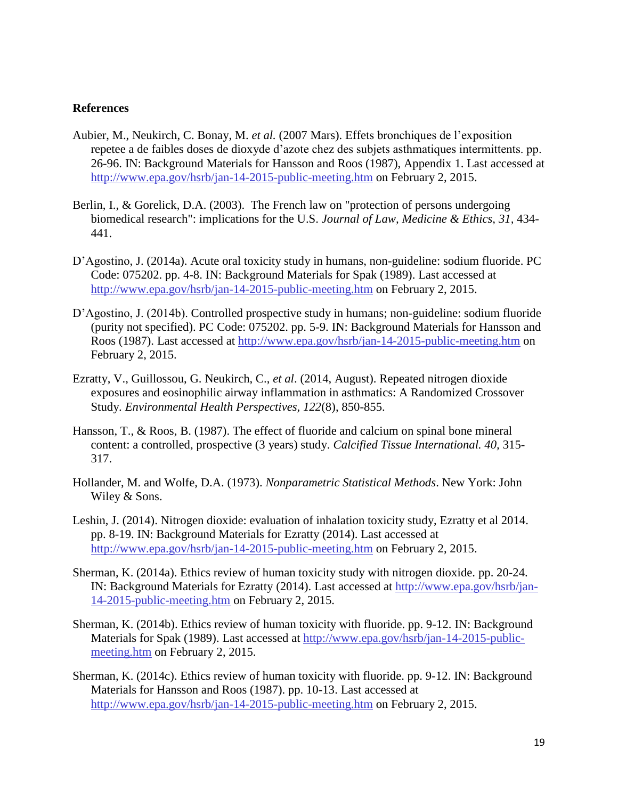#### **References**

- Aubier, M., Neukirch, C. Bonay, M. *et al.* (2007 Mars). Effets bronchiques de l'exposition repetee a de faibles doses de dioxyde d'azote chez des subjets asthmatiques intermittents. pp. 26-96. IN: Background Materials for Hansson and Roos (1987), Appendix 1. Last accessed at [http://www.epa.gov/hsrb/jan-14-2015-public-meeting.htm](http://www.epa.gov/hsrb/jan-14-2015-public-meeting.htm%20on%20February%202) on February 2, 2015.
- Berlin, I., & Gorelick, D.A. (2003). The French law on "protection of persons undergoing biomedical research": implications for the U.S. *Journal of Law, Medicine & Ethics, 31,* 434- 441.
- D'Agostino, J. (2014a). Acute oral toxicity study in humans, non-guideline: sodium fluoride. PC Code: 075202. pp. 4-8. IN: Background Materials for Spak (1989). Last accessed at [http://www.epa.gov/hsrb/jan-14-2015-public-meeting.htm](http://www.epa.gov/hsrb/jan-14-2015-public-meeting.htm%20on%20February%202) on February 2, 2015.
- D'Agostino, J. (2014b). Controlled prospective study in humans; non-guideline: sodium fluoride (purity not specified). PC Code: 075202. pp. 5-9. IN: Background Materials for Hansson and Roos (1987). Last accessed at [http://www.epa.gov/hsrb/jan-14-2015-public-meeting.htm](http://www.epa.gov/hsrb/jan-14-2015-public-meeting.htm%20on%20February%202) on [February 2,](http://www.epa.gov/hsrb/jan-14-2015-public-meeting.htm%20on%20February%202) 2015.
- Ezratty, V., Guillossou, G. Neukirch, C., *et al*. (2014, August). Repeated nitrogen dioxide exposures and eosinophilic airway inflammation in asthmatics: A Randomized Crossover Study. *Environmental Health Perspectives, 122*(8), 850-855.
- Hansson, T., & Roos, B. (1987). The effect of fluoride and calcium on spinal bone mineral content: a controlled, prospective (3 years) study. *Calcified Tissue International. 40,* 315- 317.
- Hollander, M. and Wolfe, D.A. (1973). *Nonparametric Statistical Methods*. New York: John Wiley & Sons.
- Leshin, J. (2014). Nitrogen dioxide: evaluation of inhalation toxicity study, Ezratty et al 2014. pp. 8-19. IN: Background Materials for Ezratty (2014). Last accessed at [http://www.epa.gov/hsrb/jan-14-2015-public-meeting.htm](http://www.epa.gov/hsrb/jan-14-2015-public-meeting.htm%20on%20February%202) on February 2, 2015.
- Sherman, K. (2014a). Ethics review of human toxicity study with nitrogen dioxide. pp. 20-24. IN: Background Materials for Ezratty (2014). Last accessed at [http://www.epa.gov/hsrb/jan-](http://www.epa.gov/hsrb/jan-14-2015-public-meeting.htm%20on%20February%202)[14-2015-public-meeting.htm](http://www.epa.gov/hsrb/jan-14-2015-public-meeting.htm%20on%20February%202) on February 2, 2015.
- Sherman, K. (2014b). Ethics review of human toxicity with fluoride. pp. 9-12. IN: Background Materials for Spak (1989). Last accessed at [http://www.epa.gov/hsrb/jan-14-2015-public](http://www.epa.gov/hsrb/jan-14-2015-public-meeting.htm%20on%20February%202)meeting.htm [on February 2,](http://www.epa.gov/hsrb/jan-14-2015-public-meeting.htm%20on%20February%202) 2015.
- Sherman, K. (2014c). Ethics review of human toxicity with fluoride. pp. 9-12. IN: Background Materials for Hansson and Roos (1987). pp. 10-13. Last accessed at [http://www.epa.gov/hsrb/jan-14-2015-public-meeting.htm](http://www.epa.gov/hsrb/jan-14-2015-public-meeting.htm%20on%20February%202) on February 2, 2015.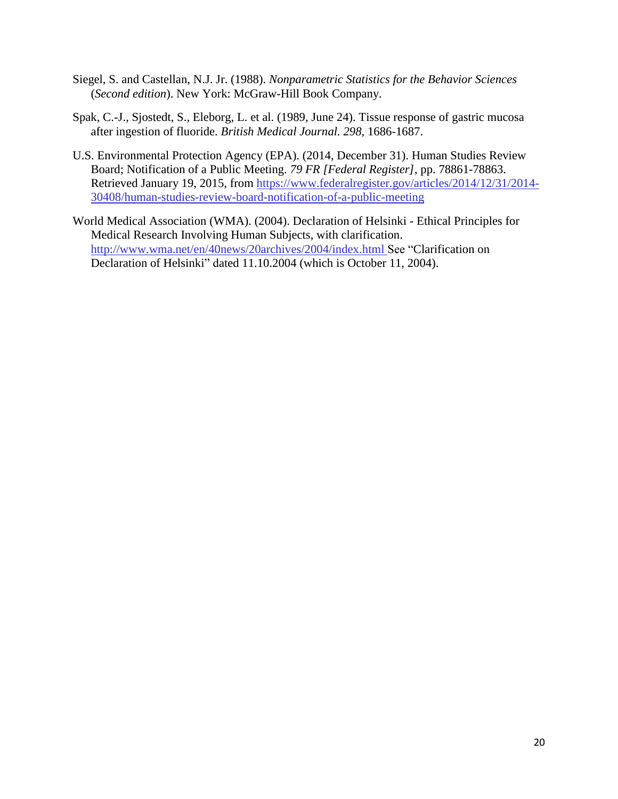- Siegel, S. and Castellan, N.J. Jr. (1988). *Nonparametric Statistics for the Behavior Sciences*  (*Second edition*). New York: McGraw-Hill Book Company.
- Spak, C.-J., Sjostedt, S., Eleborg, L. et al. (1989, June 24). Tissue response of gastric mucosa after ingestion of fluoride. *British Medical Journal. 298,* 1686-1687.
- U.S. Environmental Protection Agency (EPA). (2014, December 31). Human Studies Review Board; Notification of a Public Meeting. *79 FR [Federal Register]*, pp. 78861-78863. Retrieved January 19, 2015, from [https://www.federalregister.gov/articles/2014/12/31/2014-](https://www.federalregister.gov/articles/2014/12/31/2014-30408/human-studies-review-board-notification-of-a-public-meeting) [30408/human-studies-review-board-notification-of-a-public-meeting](https://www.federalregister.gov/articles/2014/12/31/2014-30408/human-studies-review-board-notification-of-a-public-meeting)
- World Medical Association (WMA). (2004). Declaration of Helsinki Ethical Principles for Medical Research Involving Human Subjects, with clarification. <http://www.wma.net/en/40news/20archives/2004/index.html> See "Clarification on Declaration of Helsinki" dated 11.10.2004 (which is October 11, 2004).